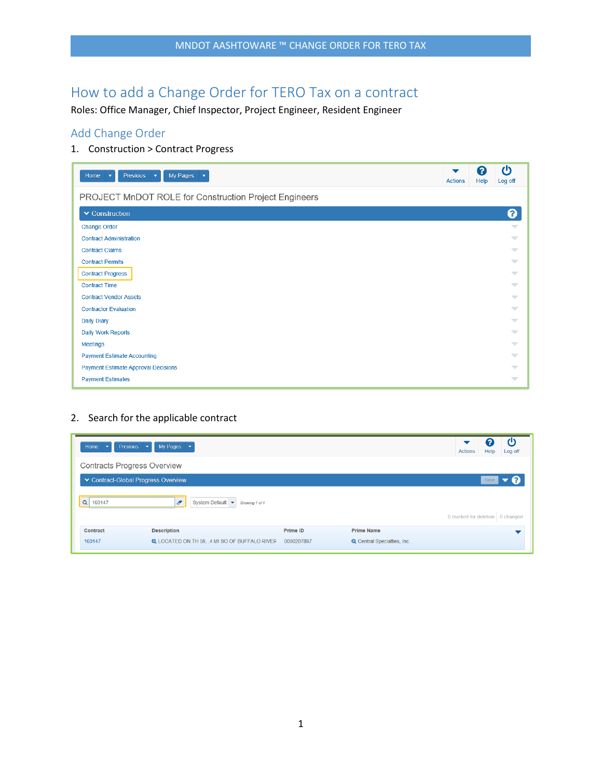# How to add a Change Order for TERO Tax on a contract

Roles: Office Manager, Chief Inspector, Project Engineer, Resident Engineer

### Add Change Order

1. Construction > Contract Progress

| <b>Previous</b><br>My Pages<br>Home<br>$\overline{\mathbf{v}}$<br>$\overline{\phantom{a}}$<br>$\overline{\phantom{a}}$ | ▼<br><b>Actions</b> | 2<br>Help | ტ<br>Log off             |
|------------------------------------------------------------------------------------------------------------------------|---------------------|-----------|--------------------------|
| PROJECT MnDOT ROLE for Construction Project Engineers                                                                  |                     |           |                          |
| ▼ Construction                                                                                                         |                     |           | ➋                        |
| <b>Change Order</b>                                                                                                    |                     |           | $\overline{\phantom{a}}$ |
| <b>Contract Administration</b>                                                                                         |                     |           | $\overline{\phantom{a}}$ |
| <b>Contract Claims</b>                                                                                                 |                     |           | $\overline{\phantom{a}}$ |
| <b>Contract Permits</b>                                                                                                |                     |           | $\overline{\phantom{m}}$ |
| <b>Contract Progress</b>                                                                                               |                     |           | $\overline{\phantom{a}}$ |
| <b>Contract Time</b>                                                                                                   |                     |           | $\overline{\phantom{a}}$ |
| <b>Contract Vendor Assets</b>                                                                                          |                     |           | $\overline{\phantom{m}}$ |
| <b>Contractor Evaluation</b>                                                                                           |                     |           | $\overline{\phantom{a}}$ |
| Daily Diary                                                                                                            |                     |           | $\overline{\phantom{a}}$ |
| Daily Work Reports                                                                                                     |                     |           | $\overline{\phantom{m}}$ |
| <b>Meetings</b>                                                                                                        |                     |           | $\overline{\phantom{a}}$ |
| <b>Payment Estimate Accounting</b>                                                                                     |                     |           | $\overline{\phantom{a}}$ |
| <b>Payment Estimate Approval Decisions</b>                                                                             |                     |           | $\overline{\phantom{a}}$ |
| <b>Payment Estimates</b>                                                                                               |                     |           | $\overline{\phantom{m}}$ |

2. Search for the applicable contract

| Home<br>Previous<br>$\overline{\phantom{a}}$ | My Pages<br>$\overline{\mathbf{v}}$<br>$\overline{\phantom{a}}$      |            |                                    | 2<br>c<br><b>Actions</b><br>Help<br>Log off |
|----------------------------------------------|----------------------------------------------------------------------|------------|------------------------------------|---------------------------------------------|
| <b>Contracts Progress Overview</b>           |                                                                      |            |                                    |                                             |
| ▼ Contract-Global Progress Overview          |                                                                      |            |                                    | Save                                        |
| $Q$ 160147                                   | $\epsilon$<br>System Default $\blacktriangleright$<br>Showing 1 of 1 |            |                                    |                                             |
|                                              |                                                                      |            |                                    | 0 marked for deletion   0 changed           |
| Contract                                     | <b>Description</b>                                                   | Prime ID   | <b>Prime Name</b>                  |                                             |
| 160147                                       | <b>Q</b> LOCATED ON TH 59, .4 MI SO OF BUFFALO RIVER                 | 0000207897 | <b>Q</b> Central Specialties, Inc. |                                             |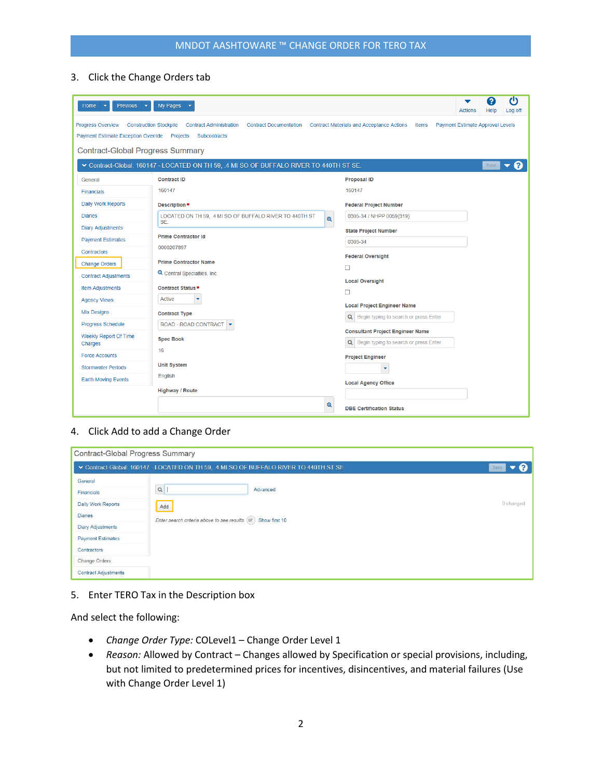### 3. Click the Change Orders tab

| <b>Previous</b><br>Home                                                                                              | My Pages                                                                                                                                                                                                    | ტ<br>7<br><b>Actions</b><br>Help<br>Log off                                                                        |  |  |  |  |
|----------------------------------------------------------------------------------------------------------------------|-------------------------------------------------------------------------------------------------------------------------------------------------------------------------------------------------------------|--------------------------------------------------------------------------------------------------------------------|--|--|--|--|
| <b>Progress Overview</b><br>Payment Estimate Exception Override  Projects<br><b>Contract-Global Progress Summary</b> | <b>Construction Stockpile</b><br><b>Contract Administration</b><br><b>Contract Documentation</b><br>Subcontracts<br>∨ Contract-Global: 160147 - LOCATED ON TH 59, .4 MI SO OF BUFFALO RIVER TO 440TH ST SE. | <b>Contract Materials and Acceptance Actions</b><br><b>Payment Estimate Approval Levels</b><br>Items<br>(?<br>Save |  |  |  |  |
| General                                                                                                              | <b>Contract ID</b>                                                                                                                                                                                          | <b>Proposal ID</b>                                                                                                 |  |  |  |  |
| <b>Financials</b>                                                                                                    | 160147                                                                                                                                                                                                      | 160147                                                                                                             |  |  |  |  |
| Daily Work Reports                                                                                                   | Description*                                                                                                                                                                                                | <b>Federal Project Number</b>                                                                                      |  |  |  |  |
| <b>Diaries</b>                                                                                                       | LOCATED ON TH 59, .4 MI SO OF BUFFALO RIVER TO 440TH ST<br>$\mathbf{\mathfrak{a}}$                                                                                                                          | 0305-34 / NHPP 0059(319)                                                                                           |  |  |  |  |
| <b>Diary Adjustments</b>                                                                                             | SE.                                                                                                                                                                                                         | <b>State Project Number</b>                                                                                        |  |  |  |  |
| <b>Payment Estimates</b>                                                                                             | <b>Prime Contractor Id</b>                                                                                                                                                                                  | 0305-34                                                                                                            |  |  |  |  |
| <b>Contractors</b>                                                                                                   | 0000207897                                                                                                                                                                                                  |                                                                                                                    |  |  |  |  |
| <b>Change Orders</b>                                                                                                 | <b>Prime Contractor Name</b>                                                                                                                                                                                | <b>Federal Oversight</b><br>$\Box$                                                                                 |  |  |  |  |
| <b>Contract Adjustments</b>                                                                                          | <b>Q</b> Central Specialties, Inc.                                                                                                                                                                          |                                                                                                                    |  |  |  |  |
| <b>Item Adjustments</b>                                                                                              | <b>Contract Status*</b>                                                                                                                                                                                     | <b>Local Oversight</b>                                                                                             |  |  |  |  |
| <b>Agency Views</b>                                                                                                  | <b>Active</b><br>٠                                                                                                                                                                                          | □                                                                                                                  |  |  |  |  |
| <b>Mix Designs</b>                                                                                                   | <b>Contract Type</b>                                                                                                                                                                                        | <b>Local Project Engineer Name</b>                                                                                 |  |  |  |  |
| Progress Schedule                                                                                                    | ROAD - ROAD CONTRACT   -                                                                                                                                                                                    | Q Begin typing to search or press Enter                                                                            |  |  |  |  |
| Weekly Report Of Time                                                                                                | <b>Spec Book</b>                                                                                                                                                                                            | <b>Consultant Project Engineer Name</b>                                                                            |  |  |  |  |
| Charges                                                                                                              | 16                                                                                                                                                                                                          | Q Begin typing to search or press Enter                                                                            |  |  |  |  |
| <b>Force Accounts</b>                                                                                                |                                                                                                                                                                                                             | <b>Project Engineer</b>                                                                                            |  |  |  |  |
| <b>Stormwater Periods</b>                                                                                            | <b>Unit System</b>                                                                                                                                                                                          | ٠                                                                                                                  |  |  |  |  |
| <b>Earth-Moving Events</b>                                                                                           | English                                                                                                                                                                                                     | <b>Local Agency Office</b>                                                                                         |  |  |  |  |
|                                                                                                                      | <b>Highway / Route</b>                                                                                                                                                                                      |                                                                                                                    |  |  |  |  |
|                                                                                                                      | $\mathbf{\Theta}$                                                                                                                                                                                           | <b>DBE Certification Status</b>                                                                                    |  |  |  |  |

#### 4. Click Add to add a Change Order

| Contract-Global Progress Summary |                                                                                        |           |  |  |  |
|----------------------------------|----------------------------------------------------------------------------------------|-----------|--|--|--|
|                                  | V Contract-Global: 160147 - LOCATED ON TH 59, 4 MI SO OF BUFFALO RIVER TO 440TH ST SE. | Save      |  |  |  |
| General                          |                                                                                        |           |  |  |  |
| Financials                       | Q<br>Advanced                                                                          |           |  |  |  |
| Daily Work Reports               | Add                                                                                    | 0 changed |  |  |  |
| <b>Diaries</b>                   | Enter search criteria above to see results (or) Show first 10                          |           |  |  |  |
| <b>Diary Adjustments</b>         |                                                                                        |           |  |  |  |
| <b>Payment Estimates</b>         |                                                                                        |           |  |  |  |
| Contractors                      |                                                                                        |           |  |  |  |
| Change Orders                    |                                                                                        |           |  |  |  |
| <b>Contract Adjustments</b>      |                                                                                        |           |  |  |  |

### 5. Enter TERO Tax in the Description box

And select the following:

- *Change Order Type:* COLevel1 Change Order Level 1
- *Reason:* Allowed by Contract Changes allowed by Specification or special provisions, including, but not limited to predetermined prices for incentives, disincentives, and material failures (Use with Change Order Level 1)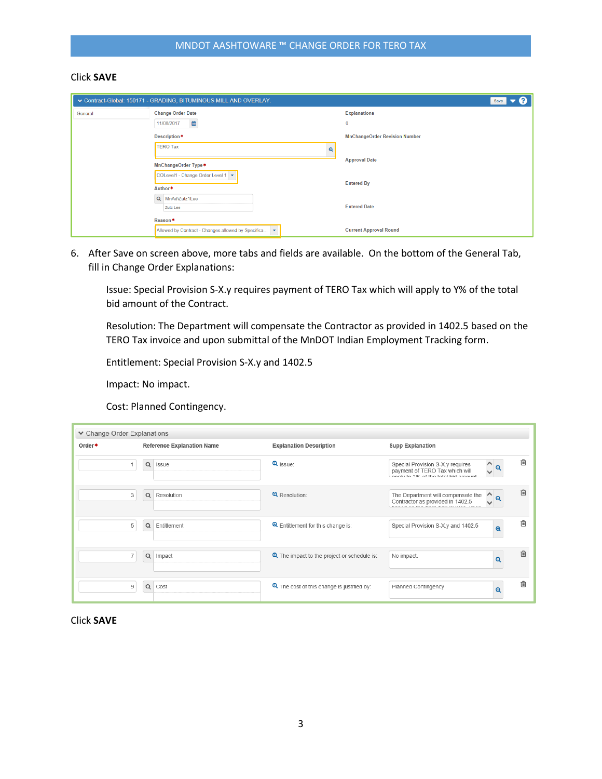### Click **SAVE**

|         | v Contract-Global: 150171 - GRADING, BITUMINOUS MILL AND OVERLAY. | Save                                 |
|---------|-------------------------------------------------------------------|--------------------------------------|
| General | <b>Change Order Date</b>                                          | <b>Explanations</b>                  |
|         | 酋<br>11/08/2017                                                   | $\mathbf 0$                          |
|         | Description*                                                      | <b>MnChangeOrder Revision Number</b> |
|         | <b>TERO Tax</b><br>$\mathbf{\Theta}$                              |                                      |
|         |                                                                   | <b>Approval Date</b>                 |
|         | MnChangeOrder Type *                                              |                                      |
|         | COLevel1 - Change Order Level 1                                   | <b>Entered By</b>                    |
|         | Author*                                                           |                                      |
|         | Q MnAd\Zutz1Lee                                                   |                                      |
|         | Zutz Lee                                                          | <b>Entered Date</b>                  |
|         | Reason*                                                           |                                      |
|         | Allowed by Contract - Changes allowed by Specifica<br>$\bullet$   | <b>Current Approval Round</b>        |

6. After Save on screen above, more tabs and fields are available. On the bottom of the General Tab, fill in Change Order Explanations:

Issue: Special Provision S-X.y requires payment of TERO Tax which will apply to Y% of the total bid amount of the Contract.

Resolution: The Department will compensate the Contractor as provided in 1402.5 based on the TERO Tax invoice and upon submittal of the MnDOT Indian Employment Tracking form.

Entitlement: Special Provision S-X.y and 1402.5

Impact: No impact.

Cost: Planned Contingency.

| ▼ Change Order Explanations |                                   |                                                       |                                                                                                                                                           |
|-----------------------------|-----------------------------------|-------------------------------------------------------|-----------------------------------------------------------------------------------------------------------------------------------------------------------|
| Order*                      | <b>Reference Explanation Name</b> | <b>Explanation Description</b>                        | <b>Supp Explanation</b>                                                                                                                                   |
|                             | $\alpha$<br>Issue                 | $\mathbf{\Theta}$ Issue:                              | ⋒<br>Λ<br>Special Provision S-X.y requires<br>$\mathbf{\Theta}$<br>$\checkmark$<br>payment of TERO Tax which will<br>annhu to 00/ of the total hid amount |
| 3                           | Q Resolution                      | <b>Q</b> Resolution:                                  | ⋒<br>The Department will compensate the<br>$\wedge$<br>$\mathbf{\Theta}$<br>Contractor as provided in 1402.5                                              |
| 5                           | $\alpha$<br>Entitlement           | <b>Q</b> Entitlement for this change is:              | 侕<br>Special Provision S-X.y and 1402.5<br>$\mathbf{\Theta}$                                                                                              |
|                             | Q Impact                          | The impact to the project or schedule is:             | 侕<br>No impact.<br>$\boldsymbol{\Theta}$                                                                                                                  |
| 9                           | Q Cost                            | <sup>4</sup> The cost of this change is justified by: | ⋒<br><b>Planned Contingency</b><br>$\mathbf{\Theta}$                                                                                                      |

Click **SAVE**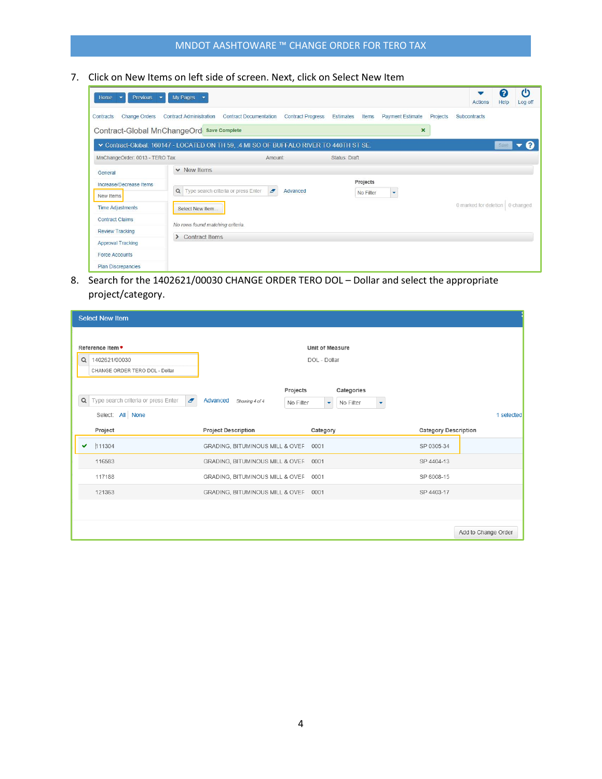### MNDOT AASHTOWARE ™ CHANGE ORDER FOR TERO TAX

7. Click on New Items on left side of screen. Next, click on Select New Item

| Previous<br>Home<br>❤<br>$\overline{\phantom{a}}$                                                                                                                        | My Pages<br>$\overline{\phantom{a}}$                      |                               |                          |               |                       |                                                      |          | <b>Actions</b>                    | (?<br>Help | $\mathcal{C}$<br>Log off |
|--------------------------------------------------------------------------------------------------------------------------------------------------------------------------|-----------------------------------------------------------|-------------------------------|--------------------------|---------------|-----------------------|------------------------------------------------------|----------|-----------------------------------|------------|--------------------------|
| <b>Change Orders</b><br>Contracts<br>Contract-Global MnChangeOrd Save Complete<br>▼ Contract-Global: 160147 - LOCATED ON TH 59, 4 MI SO OF BUFFALO RIVER TO 440TH ST SE. | <b>Contract Administration</b>                            | <b>Contract Documentation</b> | <b>Contract Progress</b> | Estimates     | Items                 | <b>Payment Estimate</b><br>$\boldsymbol{\mathsf{x}}$ | Projects | Subcontracts                      | Save       |                          |
| MnChangeOrder: 0013 - TERO Tax                                                                                                                                           |                                                           | Amount:                       |                          | Status: Draft |                       |                                                      |          |                                   |            |                          |
| General<br>Increase/Decrease Items<br>New Items                                                                                                                          | $\vee$ New Items<br>Q Type search criteria or press Enter | $\boldsymbol{\sigma}$         | Advanced                 |               | Projects<br>No Filter | $\overline{\mathbf{v}}$                              |          |                                   |            |                          |
| <b>Time Adjustments</b><br><b>Contract Claims</b><br><b>Review Tracking</b>                                                                                              | Select New Item<br>No rows found matching criteria.       |                               |                          |               |                       |                                                      |          | 0 marked for deletion   0 changed |            |                          |
| <b>Approval Tracking</b><br><b>Force Accounts</b>                                                                                                                        | <b>Contract Items</b><br>$\rightarrow$                    |                               |                          |               |                       |                                                      |          |                                   |            |                          |
| <b>Plan Discrepancies</b>                                                                                                                                                |                                                           |                               |                          |               |                       |                                                      |          |                                   |            |                          |

8. Search for the 1402621/00030 CHANGE ORDER TERO DOL – Dollar and select the appropriate project/category.

|          | <b>Select New Item</b>                                       |                                      |                        |                |                             |                     |
|----------|--------------------------------------------------------------|--------------------------------------|------------------------|----------------|-----------------------------|---------------------|
|          |                                                              |                                      |                        |                |                             |                     |
|          | Reference Item *                                             |                                      | <b>Unit of Measure</b> |                |                             |                     |
| $\alpha$ | 1402621/00030                                                |                                      | DOL - Dollar           |                |                             |                     |
|          | CHANGE ORDER TERO DOL - Dollar                               |                                      |                        |                |                             |                     |
|          |                                                              |                                      | Projects               | Categories     |                             |                     |
| $\alpha$ | Type search criteria or press Enter<br>$\boldsymbol{\sigma}$ | Advanced<br>Showing 4 of 4           | No Filter              | No Filter<br>٠ |                             |                     |
|          | Select: All None                                             |                                      |                        |                |                             | 1 selected          |
|          | Project                                                      | <b>Project Description</b>           | Category               |                | <b>Category Description</b> |                     |
| ✓        | 111304                                                       | GRADING, BITUMINOUS MILL & OVEF 0001 |                        |                | SP 0305-34                  |                     |
|          | 116583                                                       | GRADING, BITUMINOUS MILL & OVEF 0001 |                        |                | SP 4404-13                  |                     |
|          | 117188                                                       | GRADING, BITUMINOUS MILL & OVEF      | 0001                   |                | SP 6008-15                  |                     |
|          | 121363                                                       | GRADING, BITUMINOUS MILL & OVEF 0001 |                        |                | SP 4403-17                  |                     |
|          |                                                              |                                      |                        |                |                             |                     |
|          |                                                              |                                      |                        |                |                             | Add to Change Order |